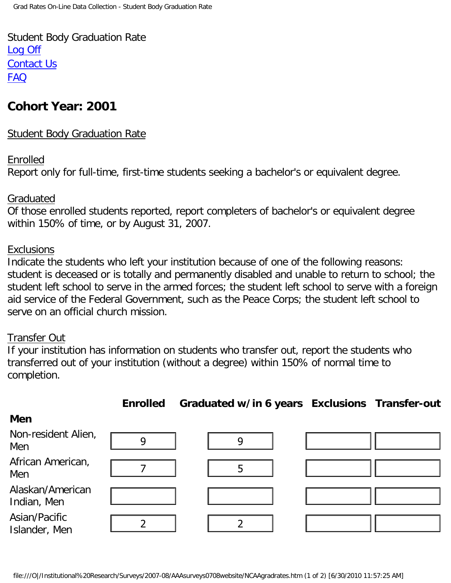Student Body Graduation Rate [Log Off](file:///O|/Institutional%20Research/Surveys/2007-08/AAAsurveys0708website/log_off) [Contact Us](file:///O|/Institutional%20Research/Surveys/2007-08/AAAsurveys0708website/go_help) [FAQ](file:///O|/Institutional%20Research/Surveys/2007-08/AAAsurveys0708website/go_faq)

# **Cohort Year: 2001**

Student Body Graduation Rate

## Enrolled

Report only for full-time, first-time students seeking a bachelor's or equivalent degree.

### Graduated

Of those enrolled students reported, report completers of bachelor's or equivalent degree within 150% of time, or by August 31, 2007.

## **Exclusions**

Indicate the students who left your institution because of one of the following reasons: student is deceased or is totally and permanently disabled and unable to return to school; the student left school to serve in the armed forces; the student left school to serve with a foreign aid service of the Federal Government, such as the Peace Corps; the student left school to serve on an official church mission.

### Transfer Out

If your institution has information on students who transfer out, report the students who transferred out of your institution (without a degree) within 150% of normal time to completion.

|                                 | <b>Enrolled</b> | Graduated w/in 6 years Exclusions Transfer-out                                                                               |  |
|---------------------------------|-----------------|------------------------------------------------------------------------------------------------------------------------------|--|
| <b>Men</b>                      |                 |                                                                                                                              |  |
| Non-resident Alien,<br>Men      | 9               | 9                                                                                                                            |  |
| African American,<br>Men        |                 | 5                                                                                                                            |  |
| Alaskan/American<br>Indian, Men |                 |                                                                                                                              |  |
| Asian/Pacific<br>Islander, Men  | 2               | $\overline{2}$                                                                                                               |  |
|                                 |                 |                                                                                                                              |  |
|                                 |                 | file:///O /Institutional%20Research/Surveys/2007-08/AAAsurveys0708website/NCAAgradrates.htm (1 of 2) [6/30/2010 11:57:25 AM] |  |

# **Enrolled Graduated w/in 6 years Exclusions Transfer-out**